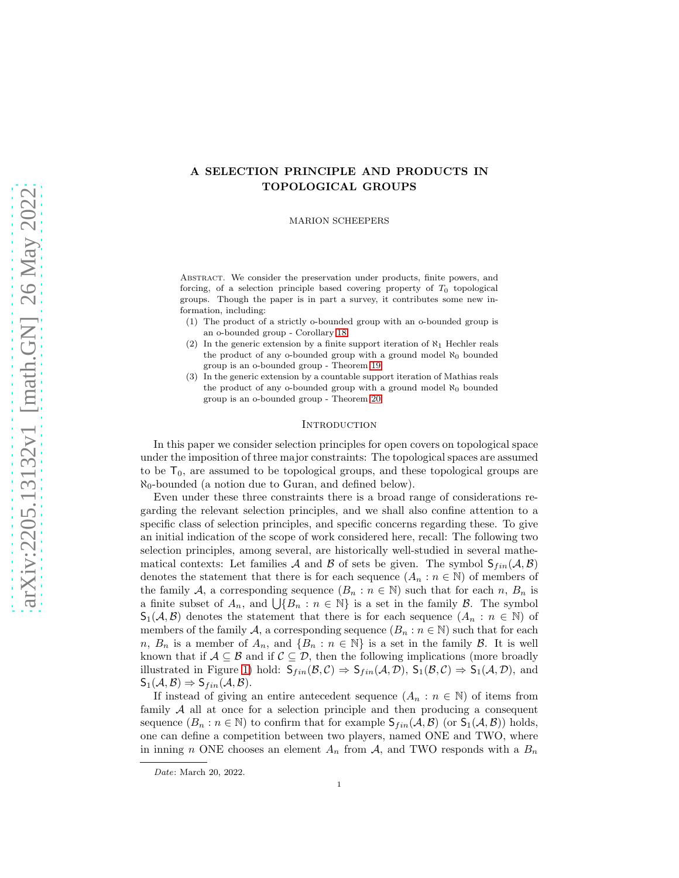# A SELECTION PRINCIPLE AND PRODUCTS IN TOPOLOGICAL GROUPS

MARION SCHEEPERS

Abstract. We consider the preservation under products, finite powers, and forcing, of a selection principle based covering property of  $T_0$  topological groups. Though the paper is in part a survey, it contributes some new information, including:

- (1) The product of a strictly o-bounded group with an o-bounded group is an o-bounded group - Corollary [18](#page-7-0)
- (2) In the generic extension by a finite support iteration of  $\aleph_1$  Hechler reals the product of any o-bounded group with a ground model  $\aleph_0$  bounded group is an o-bounded group - Theorem [19](#page-8-0)
- (3) In the generic extension by a countable support iteration of Mathias reals the product of any o-bounded group with a ground model  $\aleph_0$  bounded group is an o-bounded group - Theorem [20](#page-8-1)

### **INTRODUCTION**

In this paper we consider selection principles for open covers on topological space under the imposition of three major constraints: The topological spaces are assumed to be  $T_0$ , are assumed to be topological groups, and these topological groups are  $\aleph_0$ -bounded (a notion due to Guran, and defined below).

Even under these three constraints there is a broad range of considerations regarding the relevant selection principles, and we shall also confine attention to a specific class of selection principles, and specific concerns regarding these. To give an initial indication of the scope of work considered here, recall: The following two selection principles, among several, are historically well-studied in several mathematical contexts: Let families A and B of sets be given. The symbol  $S_{fin}(\mathcal{A}, \mathcal{B})$ denotes the statement that there is for each sequence  $(A_n : n \in \mathbb{N})$  of members of the family A, a corresponding sequence  $(B_n : n \in \mathbb{N})$  such that for each n,  $B_n$  is a finite subset of  $A_n$ , and  $\bigcup \{B_n : n \in \mathbb{N}\}\$ is a set in the family  $\mathcal{B}$ . The symbol  $\mathsf{S}_1(\mathcal{A}, \mathcal{B})$  denotes the statement that there is for each sequence  $(A_n : n \in \mathbb{N})$  of members of the family A, a corresponding sequence  $(B_n : n \in \mathbb{N})$  such that for each n,  $B_n$  is a member of  $A_n$ , and  $\{B_n : n \in \mathbb{N}\}\$ is a set in the family  $B$ . It is well known that if  $A \subseteq B$  and if  $C \subseteq D$ , then the following implications (more broadly illustrated in Figure [1\)](#page-1-0) hold:  $S_{fin}(\mathcal{B}, \mathcal{C}) \Rightarrow S_{fin}(\mathcal{A}, \mathcal{D}), S_1(\mathcal{B}, \mathcal{C}) \Rightarrow S_1(\mathcal{A}, \mathcal{D}),$  and  $S_1(\mathcal{A}, \mathcal{B}) \Rightarrow S_{fin}(\mathcal{A}, \mathcal{B}).$ 

If instead of giving an entire antecedent sequence  $(A_n : n \in \mathbb{N})$  of items from family A all at once for a selection principle and then producing a consequent sequence  $(B_n : n \in \mathbb{N})$  to confirm that for example  $S_{fin}(\mathcal{A}, \mathcal{B})$  (or  $S_1(\mathcal{A}, \mathcal{B})$ ) holds, one can define a competition between two players, named ONE and TWO, where in inning n ONE chooses an element  $A_n$  from  $A$ , and TWO responds with a  $B_n$ 

Date: March 20, 2022.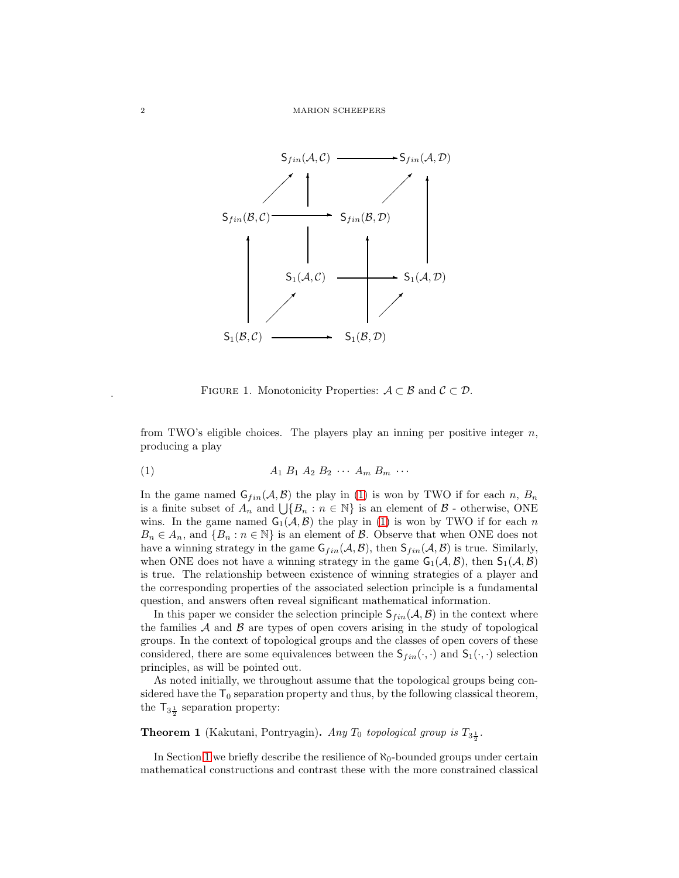

<span id="page-1-1"></span><span id="page-1-0"></span>FIGURE 1. Monotonicity Properties:  $A \subset B$  and  $C \subset \mathcal{D}$ .

from TWO's eligible choices. The players play an inning per positive integer  $n$ , producing a play

$$
(1) \qquad \qquad A_1 B_1 A_2 B_2 \cdots A_m B_m \cdots
$$

In the game named  $G_{fin}(\mathcal{A}, \mathcal{B})$  the play in [\(1\)](#page-1-1) is won by TWO if for each n,  $B_n$ is a finite subset of  $A_n$  and  $\bigcup \{B_n : n \in \mathbb{N}\}\$ is an element of  $\mathcal{B}$  - otherwise, ONE wins. In the game named  $G_1(\mathcal{A}, \mathcal{B})$  the play in [\(1\)](#page-1-1) is won by TWO if for each n  $B_n \in A_n$ , and  $\{B_n : n \in \mathbb{N}\}\$ is an element of  $\mathcal{B}$ . Observe that when ONE does not have a winning strategy in the game  $G_{fin}(\mathcal{A}, \mathcal{B})$ , then  $S_{fin}(\mathcal{A}, \mathcal{B})$  is true. Similarly, when ONE does not have a winning strategy in the game  $G_1(\mathcal{A}, \mathcal{B})$ , then  $S_1(\mathcal{A}, \mathcal{B})$ is true. The relationship between existence of winning strategies of a player and the corresponding properties of the associated selection principle is a fundamental question, and answers often reveal significant mathematical information.

In this paper we consider the selection principle  $S_{fin}(A, B)$  in the context where the families  $A$  and  $B$  are types of open covers arising in the study of topological groups. In the context of topological groups and the classes of open covers of these considered, there are some equivalences between the  $S_{fin}(\cdot, \cdot)$  and  $S_1(\cdot, \cdot)$  selection principles, as will be pointed out.

As noted initially, we throughout assume that the topological groups being considered have the  $T_0$  separation property and thus, by the following classical theorem, the  $\mathsf{T}_{3\frac{1}{2}}$  separation property:

**Theorem 1** (Kakutani, Pontryagin). Any  $T_0$  topological group is  $T_{3\frac{1}{2}}$ .

In Section [1](#page-2-0) we briefly describe the resilience of  $\aleph_0$ -bounded groups under certain mathematical constructions and contrast these with the more constrained classical

.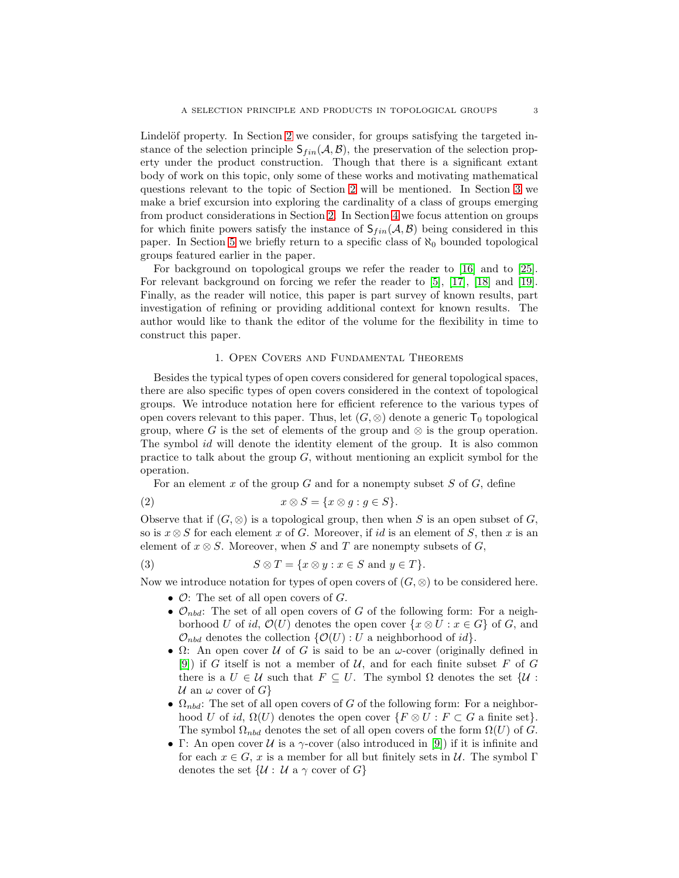Lindelöf property. In Section [2](#page-4-0) we consider, for groups satisfying the targeted instance of the selection principle  $S_{fin}(\mathcal{A}, \mathcal{B})$ , the preservation of the selection property under the product construction. Though that there is a significant extant body of work on this topic, only some of these works and motivating mathematical questions relevant to the topic of Section [2](#page-4-0) will be mentioned. In Section [3](#page-7-1) we make a brief excursion into exploring the cardinality of a class of groups emerging from product considerations in Section [2.](#page-4-0) In Section [4](#page-9-0) we focus attention on groups for which finite powers satisfy the instance of  $S_{fin}(\mathcal{A}, \mathcal{B})$  being considered in this paper. In Section [5](#page-11-0) we briefly return to a specific class of  $\aleph_0$  bounded topological groups featured earlier in the paper.

For background on topological groups we refer the reader to [\[16\]](#page-13-0) and to [\[25\]](#page-13-1). For relevant background on forcing we refer the reader to [\[5\]](#page-12-0), [\[17\]](#page-13-2), [\[18\]](#page-13-3) and [\[19\]](#page-13-4). Finally, as the reader will notice, this paper is part survey of known results, part investigation of refining or providing additional context for known results. The author would like to thank the editor of the volume for the flexibility in time to construct this paper.

## 1. Open Covers and Fundamental Theorems

<span id="page-2-0"></span>Besides the typical types of open covers considered for general topological spaces, there are also specific types of open covers considered in the context of topological groups. We introduce notation here for efficient reference to the various types of open covers relevant to this paper. Thus, let  $(G, \otimes)$  denote a generic  $\mathsf{T}_0$  topological group, where G is the set of elements of the group and  $\otimes$  is the group operation. The symbol id will denote the identity element of the group. It is also common practice to talk about the group  $G$ , without mentioning an explicit symbol for the operation.

For an element  $x$  of the group  $G$  and for a nonempty subset  $S$  of  $G$ , define

(2) 
$$
x \otimes S = \{x \otimes g : g \in S\}.
$$

Observe that if  $(G, \otimes)$  is a topological group, then when S is an open subset of G, so is  $x \otimes S$  for each element x of G. Moreover, if id is an element of S, then x is an element of  $x \otimes S$ . Moreover, when S and T are nonempty subsets of G,

(3) 
$$
S \otimes T = \{x \otimes y : x \in S \text{ and } y \in T\}.
$$

Now we introduce notation for types of open covers of  $(G, \otimes)$  to be considered here.

- $\mathcal{O}$ : The set of all open covers of  $G$ .
- $\mathcal{O}_{nbd}$ : The set of all open covers of G of the following form: For a neighborhood U of id,  $\mathcal{O}(U)$  denotes the open cover  $\{x \otimes U : x \in G\}$  of G, and  $\mathcal{O}_{nbd}$  denotes the collection  $\{\mathcal{O}(U): U$  a neighborhood of id.
- $\Omega$ : An open cover U of G is said to be an  $\omega$ -cover (originally defined in [\[9\]](#page-13-5)) if G itself is not a member of  $U$ , and for each finite subset F of G there is a  $U \in \mathcal{U}$  such that  $F \subseteq U$ . The symbol  $\Omega$  denotes the set  $\{\mathcal{U}:$ U an  $\omega$  cover of  $G$ }
- $\Omega_{nbd}$ : The set of all open covers of G of the following form: For a neighborhood U of id,  $\Omega(U)$  denotes the open cover  $\{F \otimes U : F \subset G \text{ a finite set}\}.$ The symbol  $\Omega_{nbd}$  denotes the set of all open covers of the form  $\Omega(U)$  of G.
- Γ: An open cover  $U$  is a  $\gamma$ -cover (also introduced in [\[9\]](#page-13-5)) if it is infinite and for each  $x \in G$ , x is a member for all but finitely sets in U. The symbol  $\Gamma$ denotes the set  $\{\mathcal{U}: \mathcal{U} \text{ a } \gamma \text{ cover of } G\}$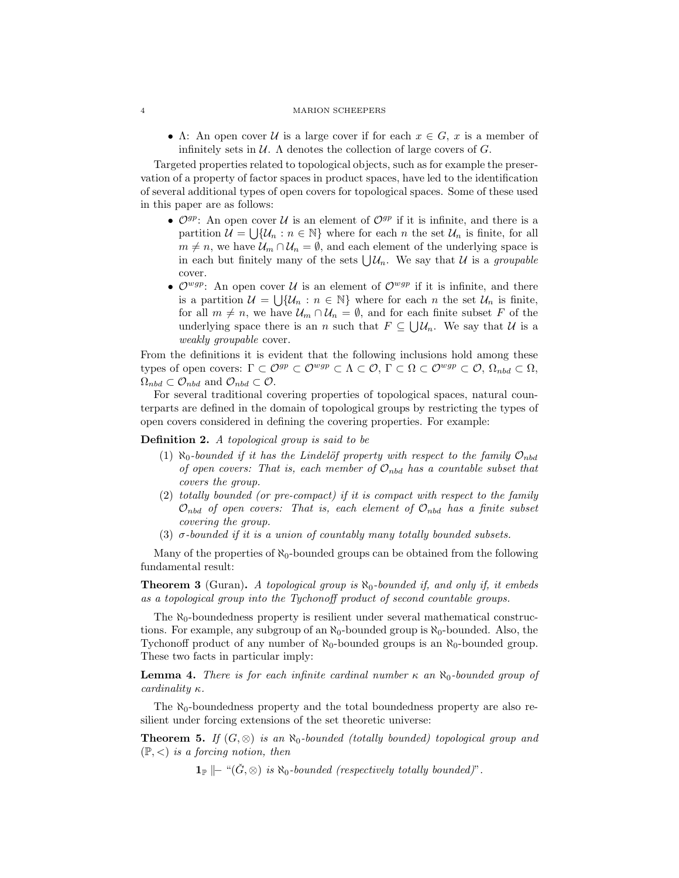#### 4 MARION SCHEEPERS

• A: An open cover U is a large cover if for each  $x \in G$ , x is a member of infinitely sets in  $\mathcal U$ . A denotes the collection of large covers of  $G$ .

Targeted properties related to topological objects, such as for example the preservation of a property of factor spaces in product spaces, have led to the identification of several additional types of open covers for topological spaces. Some of these used in this paper are as follows:

- $\mathcal{O}^{gp}$ : An open cover U is an element of  $\mathcal{O}^{gp}$  if it is infinite, and there is a partition  $\mathcal{U} = \bigcup \{ \mathcal{U}_n : n \in \mathbb{N} \}$  where for each n the set  $\mathcal{U}_n$  is finite, for all  $m \neq n$ , we have  $\mathcal{U}_m \cap \mathcal{U}_n = \emptyset$ , and each element of the underlying space is in each but finitely many of the sets  $\bigcup \mathcal{U}_n$ . We say that U is a groupable cover.
- $\mathcal{O}^{wgp}$ : An open cover U is an element of  $\mathcal{O}^{wgp}$  if it is infinite, and there is a partition  $\mathcal{U} = \bigcup \{ \mathcal{U}_n : n \in \mathbb{N} \}$  where for each n the set  $\mathcal{U}_n$  is finite, for all  $m \neq n$ , we have  $\mathcal{U}_m \cap \mathcal{U}_n = \emptyset$ , and for each finite subset F of the underlying space there is an n such that  $F \subseteq \bigcup \mathcal{U}_n$ . We say that  $\mathcal{U}$  is a weakly groupable cover.

From the definitions it is evident that the following inclusions hold among these types of open covers:  $\Gamma \subset \mathcal{O}^{gp} \subset \mathcal{O}^{wgp} \subset \Lambda \subset \mathcal{O}, \Gamma \subset \Omega \subset \mathcal{O}^{wgp} \subset \mathcal{O}, \Omega_{nbd} \subset \Omega$ ,  $\Omega_{nbd} \subset \mathcal{O}_{nbd}$  and  $\mathcal{O}_{nbd} \subset \mathcal{O}$ .

For several traditional covering properties of topological spaces, natural counterparts are defined in the domain of topological groups by restricting the types of open covers considered in defining the covering properties. For example:

Definition 2. A topological group is said to be

- (1)  $\aleph_0$ -bounded if it has the Lindelöf property with respect to the family  $\mathcal{O}_{nbd}$ of open covers: That is, each member of  $\mathcal{O}_{nbd}$  has a countable subset that covers the group.
- (2) totally bounded (or pre-compact) if it is compact with respect to the family  $\mathcal{O}_{nbd}$  of open covers: That is, each element of  $\mathcal{O}_{nbd}$  has a finite subset covering the group.
- (3)  $\sigma$ -bounded if it is a union of countably many totally bounded subsets.

Many of the properties of  $\aleph_0$ -bounded groups can be obtained from the following fundamental result:

**Theorem 3** (Guran). A topological group is  $\aleph_0$ -bounded if, and only if, it embeds as a topological group into the Tychonoff product of second countable groups.

The  $\aleph_0$ -boundedness property is resilient under several mathematical constructions. For example, any subgroup of an  $\aleph_0$ -bounded group is  $\aleph_0$ -bounded. Also, the Tychonoff product of any number of  $\aleph_0$ -bounded groups is an  $\aleph_0$ -bounded group. These two facts in particular imply:

<span id="page-3-1"></span>**Lemma 4.** There is for each infinite cardinal number  $\kappa$  an  $\aleph_0$ -bounded group of cardinality  $\kappa$ .

The  $\aleph_0$ -boundedness property and the total boundedness property are also resilient under forcing extensions of the set theoretic universe:

<span id="page-3-0"></span>**Theorem 5.** If  $(G, \otimes)$  is an  $\aleph_0$ -bounded (totally bounded) topological group and  $(\mathbb{P}, \leq)$  is a forcing notion, then

 $1_{\mathbb{P}} \models$  " $(\check{G}, \otimes)$  is  $\aleph_0$ -bounded (respectively totally bounded)".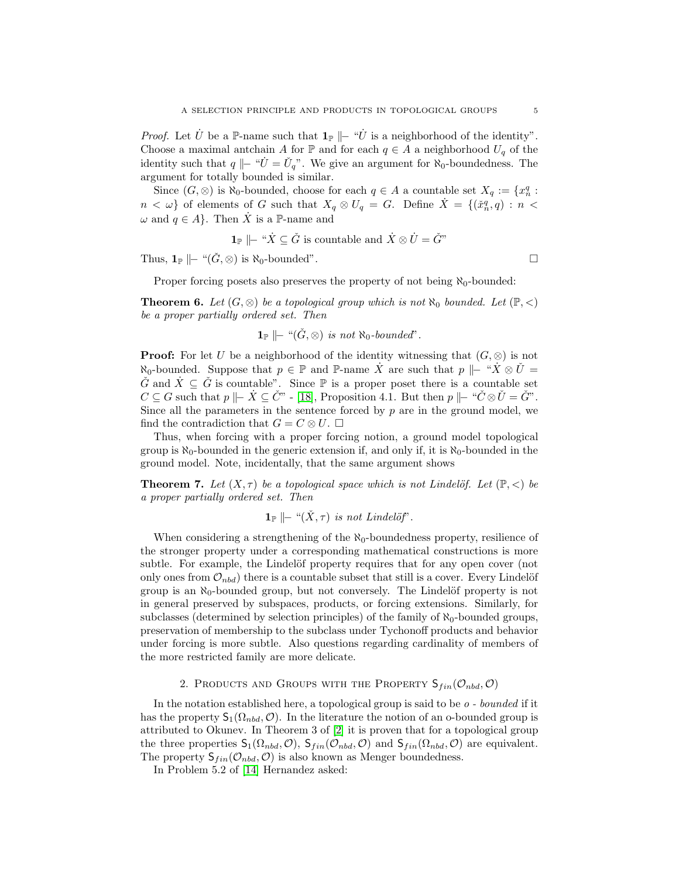*Proof.* Let  $\dot{U}$  be a P-name such that  $\mathbf{1}_{\mathbb{P}} \models ``\dot{U}$  is a neighborhood of the identity". Choose a maximal antchain A for P and for each  $q \in A$  a neighborhood  $U_q$  of the identity such that  $q \Vdash "U = U_q"$ . We give an argument for  $\aleph_0$ -boundedness. The argument for totally bounded is similar.

Since  $(G, \otimes)$  is  $\aleph_0$ -bounded, choose for each  $q \in A$  a countable set  $X_q := \{x_n^q :$  $n < \omega$  of elements of G such that  $X_q \otimes U_q = G$ . Define  $\dot{X} = \{(\check{x}_n^q, q) : n <$  $\omega$  and  $q \in A$ . Then  $\dot{X}$  is a P-name and

$$
\mathbf{1}_{\mathbb{P}} \mid\vdash \text{``}\dot{X} \subseteq \check{G} \text{ is countable and } \dot{X} \otimes \dot{U} = \check{G}^n
$$

Thus,  $\mathbf{1}_{\mathbb{P}} \Vdash$  " $(\check{G}, \otimes)$  is  $\aleph_0$ -bounded".

Proper forcing posets also preserves the property of not being  $\aleph_0$ -bounded:

**Theorem 6.** Let  $(G, \otimes)$  be a topological group which is not  $\aleph_0$  bounded. Let  $(\mathbb{P}, \lt)$ be a proper partially ordered set. Then

$$
\mathbf{1}_{\mathbb{P}} \hspace{2pt} \left| \hspace{2pt} \right| \hspace{2pt} - \hspace{2pt} ``(\check{G}, \otimes) \hspace{2pt} is \hspace{2pt} not \hspace{2pt} \aleph_0-bounded".
$$

**Proof:** For let U be a neighborhood of the identity witnessing that  $(G, \otimes)$  is not  $\aleph_0$ -bounded. Suppose that  $p \in \mathbb{P}$  and  $\mathbb{P}$ -name X are such that  $p \models "X \otimes U$  $\check{G}$  and  $\dot{X} \subseteq \check{G}$  is countable". Since  $\mathbb P$  is a proper poset there is a countable set  $C \subseteq G$  such that  $p \Vdash \dot{X} \subseteq \check{C}^n$  - [\[18\]](#page-13-3), Proposition 4.1. But then  $p \Vdash "C \otimes \check{U} = \check{G}^n$ . Since all the parameters in the sentence forced by  $p$  are in the ground model, we find the contradiction that  $G = C \otimes U$ .  $\Box$ 

Thus, when forcing with a proper forcing notion, a ground model topological group is  $\aleph_0$ -bounded in the generic extension if, and only if, it is  $\aleph_0$ -bounded in the ground model. Note, incidentally, that the same argument shows

**Theorem 7.** Let  $(X, \tau)$  be a topological space which is not Lindelöf. Let  $(\mathbb{P}, \langle)$  be a proper partially ordered set. Then

 $\mathbf{1}_{\mathbb{P}}$   $\|\text{--} \left\langle \check{X}, \tau \right\rangle$  is not Lindelöf'.

When considering a strengthening of the  $\aleph_0$ -boundedness property, resilience of the stronger property under a corresponding mathematical constructions is more subtle. For example, the Lindelöf property requires that for any open cover (not only ones from  $\mathcal{O}_{nbd}$ ) there is a countable subset that still is a cover. Every Lindelöf group is an  $\aleph_0$ -bounded group, but not conversely. The Lindelöf property is not in general preserved by subspaces, products, or forcing extensions. Similarly, for subclasses (determined by selection principles) of the family of  $\aleph_0$ -bounded groups, preservation of membership to the subclass under Tychonoff products and behavior under forcing is more subtle. Also questions regarding cardinality of members of the more restricted family are more delicate.

2. PRODUCTS AND GROUPS WITH THE PROPERTY  $S_{fin}(\mathcal{O}_{nbd}, \mathcal{O})$ 

<span id="page-4-0"></span>In the notation established here, a topological group is said to be o - bounded if it has the property  $S_1(\Omega_{nbd}, \mathcal{O})$ . In the literature the notion of an o-bounded group is attributed to Okunev. In Theorem 3 of [\[2\]](#page-12-1) it is proven that for a topological group the three properties  $S_1(\Omega_{nbd}, \mathcal{O})$ ,  $S_{fin}(\mathcal{O}_{nbd}, \mathcal{O})$  and  $S_{fin}(\Omega_{nbd}, \mathcal{O})$  are equivalent. The property  $S_{fin}(\mathcal{O}_{nbd}, \mathcal{O})$  is also known as Menger boundedness.

In Problem 5.2 of [\[14\]](#page-13-6) Hernandez asked: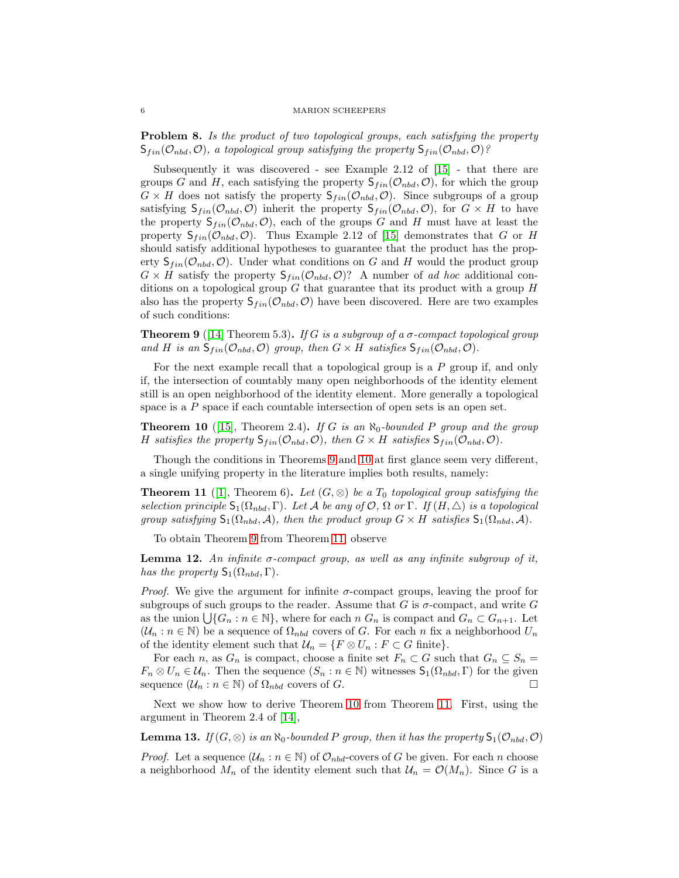### 6 MARION SCHEEPERS

Problem 8. Is the product of two topological groups, each satisfying the property  $S_{fin}(\mathcal{O}_{nbd}, \mathcal{O})$ , a topological group satisfying the property  $S_{fin}(\mathcal{O}_{nbd}, \mathcal{O})$ ?

Subsequently it was discovered - see Example 2.12 of [\[15\]](#page-13-7) - that there are groups G and H, each satisfying the property  $S_{fin}(\mathcal{O}_{nbd}, \mathcal{O})$ , for which the group  $G \times H$  does not satisfy the property  $S_{fin}(\mathcal{O}_{nbd}, \mathcal{O})$ . Since subgroups of a group satisfying  $S_{fin}(\mathcal{O}_{nbd}, \mathcal{O})$  inherit the property  $S_{fin}(\mathcal{O}_{nbd}, \mathcal{O})$ , for  $G \times H$  to have the property  $S_{fin}(\mathcal{O}_{nbd}, \mathcal{O})$ , each of the groups G and H must have at least the property  $S_{fin}(\mathcal{O}_{nbd}, \mathcal{O})$ . Thus Example 2.12 of [\[15\]](#page-13-7) demonstrates that G or H should satisfy additional hypotheses to guarantee that the product has the property  $S_{fin}(\mathcal{O}_{nbd}, \mathcal{O})$ . Under what conditions on G and H would the product group  $G \times H$  satisfy the property  $\mathsf{S}_{fin}(\mathcal{O}_{nbd}, \mathcal{O})$ ? A number of ad hoc additional conditions on a topological group  $G$  that guarantee that its product with a group  $H$ also has the property  $S_{fin}(\mathcal{O}_{nbd}, \mathcal{O})$  have been discovered. Here are two examples of such conditions:

<span id="page-5-0"></span>**Theorem 9** ([\[14\]](#page-13-6) Theorem 5.3). If G is a subgroup of a  $\sigma$ -compact topological group and H is an  $\mathsf{S}_{fin}(\mathcal{O}_{nbd}, \mathcal{O})$  group, then  $G \times H$  satisfies  $\mathsf{S}_{fin}(\mathcal{O}_{nbd}, \mathcal{O})$ .

For the next example recall that a topological group is a  $P$  group if, and only if, the intersection of countably many open neighborhoods of the identity element still is an open neighborhood of the identity element. More generally a topological space is a  $P$  space if each countable intersection of open sets is an open set.

<span id="page-5-1"></span>**Theorem 10** ([\[15\]](#page-13-7), Theorem 2.4). If G is an  $\aleph_0$ -bounded P group and the group H satisfies the property  $\mathsf{S}_{fin}(\mathcal{O}_{nbd}, \mathcal{O})$ , then  $G \times H$  satisfies  $\mathsf{S}_{fin}(\mathcal{O}_{nbd}, \mathcal{O})$ .

Though the conditions in Theorems [9](#page-5-0) and [10](#page-5-1) at first glance seem very different, a single unifying property in the literature implies both results, namely:

<span id="page-5-2"></span>**Theorem 11** ([\[1\]](#page-12-2), Theorem 6). Let  $(G, \otimes)$  be a  $T_0$  topological group satisfying the selection principle  $\mathsf{S}_1(\Omega_{nbd}, \Gamma)$ . Let A be any of  $\mathcal{O}, \Omega$  or  $\Gamma$ . If  $(H, \triangle)$  is a topological group satisfying  $S_1(\Omega_{nbd}, \mathcal{A})$ , then the product group  $G \times H$  satisfies  $S_1(\Omega_{nbd}, \mathcal{A})$ .

To obtain Theorem [9](#page-5-0) from Theorem [11,](#page-5-2) observe

<span id="page-5-4"></span>**Lemma 12.** An infinite  $\sigma$ -compact group, as well as any infinite subgroup of it, has the property  $S_1(\Omega_{nbd}, \Gamma)$ .

*Proof.* We give the argument for infinite  $\sigma$ -compact groups, leaving the proof for subgroups of such groups to the reader. Assume that G is  $\sigma$ -compact, and write G as the union  $\bigcup \{G_n : n \in \mathbb{N}\},\$  where for each n  $G_n$  is compact and  $G_n \subset G_{n+1}.$  Let  $(U_n : n \in \mathbb{N})$  be a sequence of  $\Omega_{nbd}$  covers of G. For each n fix a neighborhood  $U_n$ of the identity element such that  $\mathcal{U}_n = \{F \otimes U_n : F \subset G \text{ finite}\}.$ 

For each n, as  $G_n$  is compact, choose a finite set  $F_n \subset G$  such that  $G_n \subseteq S_n$  $F_n \otimes U_n \in \mathcal{U}_n$ . Then the sequence  $(S_n : n \in \mathbb{N})$  witnesses  $\mathsf{S}_1(\Omega_{nbd}, \Gamma)$  for the given sequence  $(\mathcal{U}_n : n \in \mathbb{N})$  of  $\Omega_{nbd}$  covers of G.

Next we show how to derive Theorem [10](#page-5-1) from Theorem [11.](#page-5-2) First, using the argument in Theorem 2.4 of [\[14\]](#page-13-6),

<span id="page-5-3"></span>**Lemma 13.** If  $(G, \otimes)$  is an  $\aleph_0$ -bounded P group, then it has the property  $\mathsf{S}_1(\mathcal{O}_{nbd}, \mathcal{O})$ 

*Proof.* Let a sequence  $(\mathcal{U}_n : n \in \mathbb{N})$  of  $\mathcal{O}_{nbd}$ -covers of G be given. For each n choose a neighborhood  $M_n$  of the identity element such that  $\mathcal{U}_n = \mathcal{O}(M_n)$ . Since G is a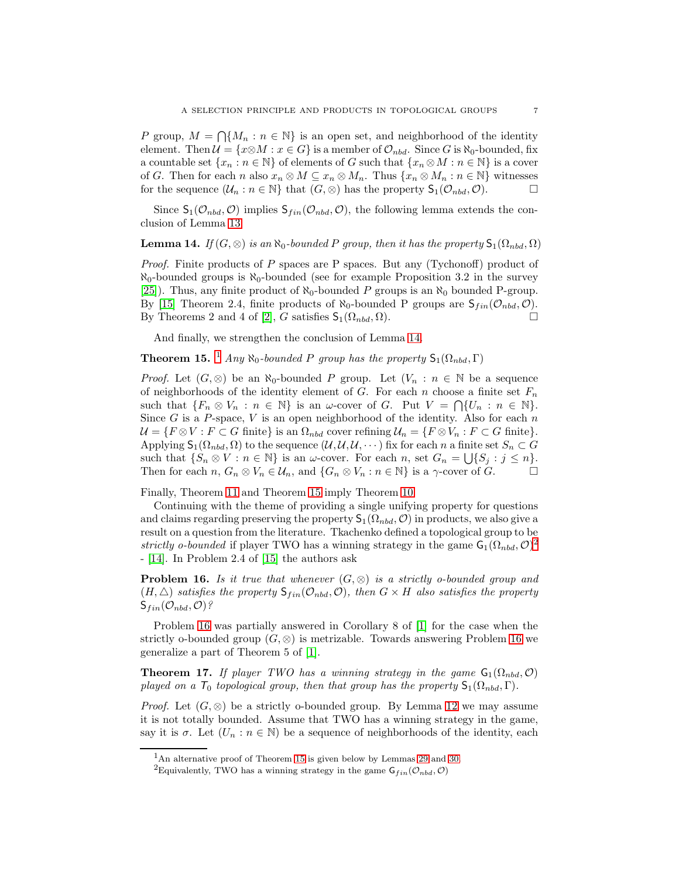P group,  $M = \bigcap \{M_n : n \in \mathbb{N}\}\$ is an open set, and neighborhood of the identity element. Then  $\mathcal{U} = \{x \otimes M : x \in G\}$  is a member of  $\mathcal{O}_{nbd}$ . Since G is  $\aleph_0$ -bounded, fix a countable set  $\{x_n : n \in \mathbb{N}\}$  of elements of G such that  $\{x_n \otimes M : n \in \mathbb{N}\}$  is a cover of G. Then for each n also  $x_n \otimes M \subseteq x_n \otimes M_n$ . Thus  $\{x_n \otimes M_n : n \in \mathbb{N}\}\$  witnesses for the sequence  $(\mathcal{U}_n : n \in \mathbb{N}\}$  that  $(G, \otimes)$  has the property  $\mathsf{S}_1(\mathcal{O}_{nbd}, \mathcal{O})$ .

Since  $S_1(\mathcal{O}_{nbd}, \mathcal{O})$  implies  $S_{fin}(\mathcal{O}_{nbd}, \mathcal{O})$ , the following lemma extends the conclusion of Lemma [13:](#page-5-3)

## <span id="page-6-0"></span>**Lemma 14.** If  $(G, \otimes)$  is an  $\aleph_0$ -bounded P group, then it has the property  $\mathsf{S}_1(\Omega_{nbd}, \Omega)$

*Proof.* Finite products of P spaces are P spaces. But any  $(Tychonoff)$  product of  $\aleph_0$ -bounded groups is  $\aleph_0$ -bounded (see for example Proposition 3.2 in the survey [\[25\]](#page-13-1)). Thus, any finite product of  $\aleph_0$ -bounded P groups is an  $\aleph_0$  bounded P-group. By [\[15\]](#page-13-7) Theorem 2.4, finite products of  $\aleph_0$ -bounded P groups are  $\mathsf{S}_{fin}(\mathcal{O}_{nbd}, \mathcal{O})$ . By Theorems 2 and 4 of [\[2\]](#page-12-1), G satisfies  $S_1(\Omega_{nbd}, \Omega)$ .

And finally, we strengthen the conclusion of Lemma [14.](#page-6-0)

<span id="page-6-2"></span>**Theorem [1](#page-6-1)5.** <sup>1</sup> Any  $\aleph_0$ -bounded P group has the property  $\mathsf{S}_1(\Omega_{nbd}, \Gamma)$ 

*Proof.* Let  $(G, \otimes)$  be an  $\aleph_0$ -bounded P group. Let  $(V_n : n \in \mathbb{N})$  be a sequence of neighborhoods of the identity element of G. For each n choose a finite set  $F_n$ such that  $\{F_n \otimes V_n : n \in \mathbb{N}\}\$ is an  $\omega$ -cover of G. Put  $V = \bigcap \{U_n : n \in \mathbb{N}\}\$ . Since G is a P-space, V is an open neighborhood of the identity. Also for each  $n$  $\mathcal{U} = \{F \otimes V : F \subset G \text{ finite}\}\$ is an  $\Omega_{nbd}$  cover refining  $\mathcal{U}_n = \{F \otimes V_n : F \subset G \text{ finite}\}.$ Applying  $\mathsf{S}_1(\Omega_{nbd}, \Omega)$  to the sequence  $(\mathcal{U}, \mathcal{U}, \mathcal{U}, \cdots)$  fix for each n a finite set  $S_n \subset G$ such that  $\{S_n \otimes V : n \in \mathbb{N}\}\$ is an  $\omega$ -cover. For each n, set  $G_n = \bigcup \{S_j : j \leq n\}.$ Then for each  $n, G_n \otimes V_n \in \mathcal{U}_n$ , and  $\{G_n \otimes V_n : n \in \mathbb{N}\}\$ is a  $\gamma$ -cover of  $G$ .

Finally, Theorem [11](#page-5-2) and Theorem [15](#page-6-2) imply Theorem [10.](#page-5-1)

Continuing with the theme of providing a single unifying property for questions and claims regarding preserving the property  $S_1(\Omega_{nbd}, \mathcal{O})$  in products, we also give a result on a question from the literature. Tkachenko defined a topological group to be strictly o-bounded if player TWO has a winning strategy in the game  $\mathsf{G}_1(\Omega_{nbd}, \mathcal{O})^2$  $\mathsf{G}_1(\Omega_{nbd}, \mathcal{O})^2$ - [\[14\]](#page-13-6). In Problem 2.4 of [\[15\]](#page-13-7) the authors ask

<span id="page-6-4"></span>**Problem 16.** Is it true that whenever  $(G, \otimes)$  is a strictly o-bounded group and  $(H, \triangle)$  satisfies the property  $\mathsf{S}_{fin}(\mathcal{O}_{nbd}, \mathcal{O})$ , then  $G \times H$  also satisfies the property  $S_{fin}(\mathcal{O}_{nbd}, \mathcal{O})$ ?

Problem [16](#page-6-4) was partially answered in Corollary 8 of [\[1\]](#page-12-2) for the case when the strictly o-bounded group  $(G, \otimes)$  is metrizable. Towards answering Problem [16](#page-6-4) we generalize a part of Theorem 5 of [\[1\]](#page-12-2).

<span id="page-6-5"></span>**Theorem 17.** If player TWO has a winning strategy in the game  $G_1(\Omega_{nbd}, \mathcal{O})$ played on a  $T_0$  topological group, then that group has the property  $\mathsf{S}_1(\Omega_{nbd},\Gamma)$ .

*Proof.* Let  $(G, \otimes)$  be a strictly o-bounded group. By Lemma [12](#page-5-4) we may assume it is not totally bounded. Assume that TWO has a winning strategy in the game, say it is  $\sigma$ . Let  $(U_n : n \in \mathbb{N})$  be a sequence of neighborhoods of the identity, each

 $1<sup>1</sup>$ An alternative proof of Theorem [15](#page-6-2) is given below by Lemmas [29](#page-11-1) and [30.](#page-11-2)

<span id="page-6-3"></span><span id="page-6-1"></span><sup>&</sup>lt;sup>2</sup>Equivalently, TWO has a winning strategy in the game  $\mathsf{G}_{fin}(\mathcal{O}_{nbd}, \mathcal{O})$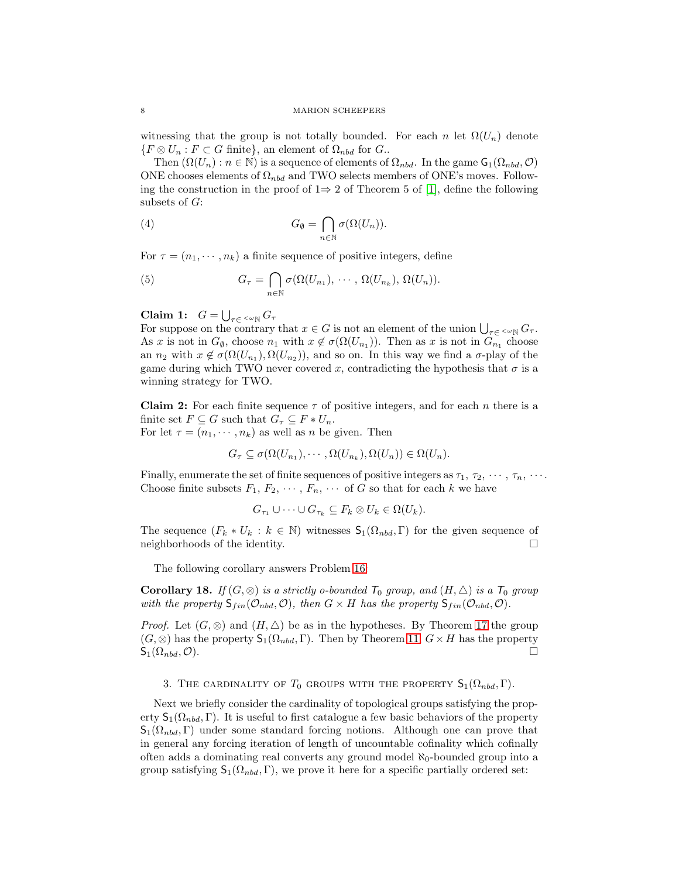witnessing that the group is not totally bounded. For each n let  $\Omega(U_n)$  denote  $\{F \otimes U_n : F \subset G \text{ finite}\},\$ an element of  $\Omega_{nbd}$  for  $G$ .

Then  $(\Omega(U_n): n \in \mathbb{N})$  is a sequence of elements of  $\Omega_{nbd}$ . In the game  $\mathsf{G}_1(\Omega_{nbd}, \mathcal{O})$ ONE chooses elements of  $\Omega_{nbd}$  and TWO selects members of ONE's moves. Following the construction in the proof of  $1\Rightarrow 2$  of Theorem 5 of [\[1\]](#page-12-2), define the following subsets of  $G$ :

(4) 
$$
G_{\emptyset} = \bigcap_{n \in \mathbb{N}} \sigma(\Omega(U_n)).
$$

For  $\tau = (n_1, \dots, n_k)$  a finite sequence of positive integers, define

(5) 
$$
G_{\tau} = \bigcap_{n \in \mathbb{N}} \sigma(\Omega(U_{n_1}), \cdots, \Omega(U_{n_k}), \Omega(U_n)).
$$

Claim 1:  $G = \bigcup_{\tau \in \langle \omega \rangle} G_{\tau}$ 

For suppose on the contrary that  $x \in G$  is not an element of the union  $\bigcup_{\tau \in \langle \infty \mathbb{N} \setminus G_{\tau}]} G_{\tau}$ . As x is not in  $G_{\emptyset}$ , choose  $n_1$  with  $x \notin \sigma(\Omega(U_{n_1}))$ . Then as x is not in  $G_{n_1}$  choose an  $n_2$  with  $x \notin \sigma(\Omega(U_{n_1}), \Omega(U_{n_2}))$ , and so on. In this way we find a  $\sigma$ -play of the game during which TWO never covered x, contradicting the hypothesis that  $\sigma$  is a winning strategy for TWO.

**Claim 2:** For each finite sequence  $\tau$  of positive integers, and for each n there is a finite set  $F \subseteq G$  such that  $G_{\tau} \subseteq F * U_n$ . For let  $\tau = (n_1, \dots, n_k)$  as well as n be given. Then

$$
G_{\tau} \subseteq \sigma(\Omega(U_{n_1}), \cdots, \Omega(U_{n_k}), \Omega(U_n)) \in \Omega(U_n).
$$

Finally, enumerate the set of finite sequences of positive integers as  $\tau_1, \tau_2, \cdots, \tau_n, \cdots$ . Choose finite subsets  $F_1, F_2, \cdots, F_n, \cdots$  of G so that for each k we have

$$
G_{\tau_1} \cup \cdots \cup G_{\tau_k} \subseteq F_k \otimes U_k \in \Omega(U_k).
$$

The sequence  $(F_k * U_k : k \in \mathbb{N})$  witnesses  $\mathsf{S}_1(\Omega_{nbd}, \Gamma)$  for the given sequence of neighborhoods of the identity.

The following corollary answers Problem [16:](#page-6-4)

<span id="page-7-0"></span>**Corollary 18.** If  $(G, \otimes)$  is a strictly o-bounded  $T_0$  group, and  $(H, \triangle)$  is a  $T_0$  group with the property  $S_{fin}(\mathcal{O}_{nbd}, \mathcal{O})$ , then  $G \times H$  has the property  $S_{fin}(\mathcal{O}_{nbd}, \mathcal{O})$ .

*Proof.* Let  $(G, \otimes)$  and  $(H, \triangle)$  be as in the hypotheses. By Theorem [17](#page-6-5) the group  $(G, \otimes)$  has the property  $\mathsf{S}_1(\Omega_{nbd}, \Gamma)$ . Then by Theorem [11,](#page-5-2)  $G \times H$  has the property  $\mathsf{S}_1(\Omega_{nbd},\mathcal{O}).$ 

<span id="page-7-1"></span>3. THE CARDINALITY OF  $T_0$  groups with the property  $\mathsf{S}_1(\Omega_{nbd},\Gamma)$ .

Next we briefly consider the cardinality of topological groups satisfying the property  $S_1(\Omega_{nbd}, \Gamma)$ . It is useful to first catalogue a few basic behaviors of the property  $S_1(\Omega_{nbd}, \Gamma)$  under some standard forcing notions. Although one can prove that in general any forcing iteration of length of uncountable cofinality which cofinally often adds a dominating real converts any ground model  $\aleph_0$ -bounded group into a group satisfying  $S_1(\Omega_{nbd}, \Gamma)$ , we prove it here for a specific partially ordered set: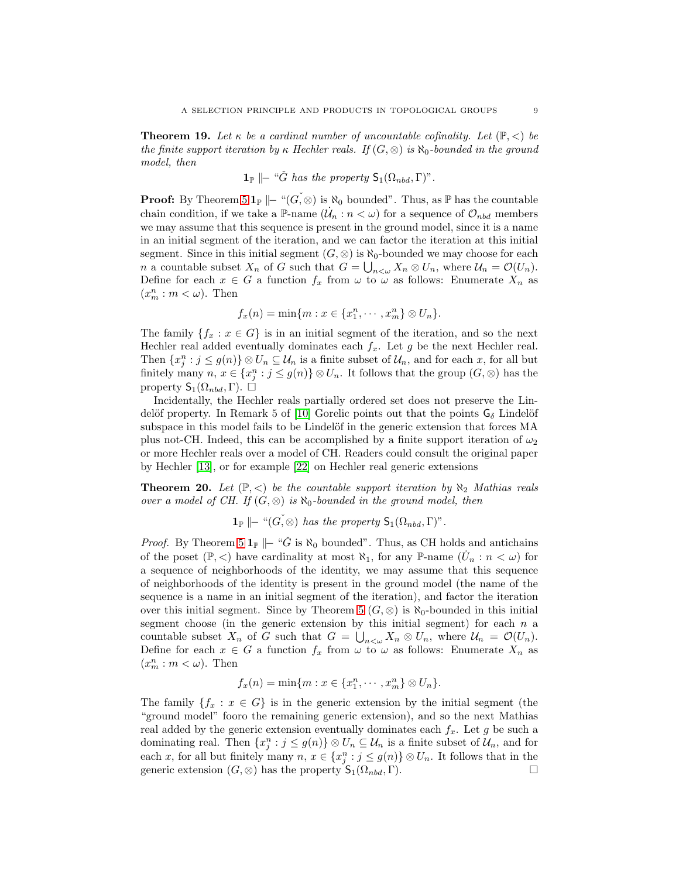<span id="page-8-0"></span>**Theorem 19.** Let  $\kappa$  be a cardinal number of uncountable cofinality. Let  $(\mathbb{P}, \leq)$  be the finite support iteration by  $\kappa$  Hechler reals. If  $(G, \otimes)$  is  $\aleph_0$ -bounded in the ground model, then

$$
\mathbf{1}_{\mathbb{P}} \parallel_{\mathcal{I}} \tilde{G} \ \text{has the property} \ \mathsf{S}_1(\Omega_{nbd}, \Gamma)^n.
$$

**Proof:** By Theorem [5](#page-3-0)  $\mathbf{1}_{\mathbb{P}}$   $\|\text{-}^{\omega}(G,\otimes)$  is  $\aleph_0$  bounded". Thus, as  $\mathbb{P}$  has the countable chain condition, if we take a P-name  $(\dot{\mathcal{U}}_n : n < \omega)$  for a sequence of  $\mathcal{O}_{nbd}$  members we may assume that this sequence is present in the ground model, since it is a name in an initial segment of the iteration, and we can factor the iteration at this initial segment. Since in this initial segment  $(G, \otimes)$  is  $\aleph_0$ -bounded we may choose for each *n* a countable subset  $X_n$  of G such that  $G = \bigcup_{n<\omega} X_n \otimes U_n$ , where  $\mathcal{U}_n = \mathcal{O}(U_n)$ . Define for each  $x \in G$  a function  $f_x$  from  $\omega$  to  $\omega$  as follows: Enumerate  $X_n$  as  $(x_m^n : m < \omega)$ . Then

$$
f_x(n) = \min\{m : x \in \{x_1^n, \cdots, x_m^n\} \otimes U_n\}.
$$

The family  ${f_x : x \in G}$  is in an initial segment of the iteration, and so the next Hechler real added eventually dominates each  $f_x$ . Let g be the next Hechler real. Then  $\{x_j^n : j \le g(n)\} \otimes U_n \subseteq \mathcal{U}_n$  is a finite subset of  $\mathcal{U}_n$ , and for each x, for all but finitely many  $n, x \in \{x_j^n : j \le g(n)\} \otimes U_n$ . It follows that the group  $(G, \otimes)$  has the property  $\mathsf{S}_1(\Omega_{nbd},\Gamma)$ .  $\square$ 

Incidentally, the Hechler reals partially ordered set does not preserve the Lin-delöf property. In Remark 5 of [\[10\]](#page-13-8) Gorelic points out that the points  $G_{\delta}$  Lindelöf subspace in this model fails to be Lindelöf in the generic extension that forces MA plus not-CH. Indeed, this can be accomplished by a finite support iteration of  $\omega_2$ or more Hechler reals over a model of CH. Readers could consult the original paper by Hechler [\[13\]](#page-13-9), or for example [\[22\]](#page-13-10) on Hechler real generic extensions

<span id="page-8-1"></span>**Theorem 20.** Let  $(\mathbb{P}, \leq)$  be the countable support iteration by  $\aleph_2$  Mathias reals over a model of CH. If  $(G, \otimes)$  is  $\aleph_0$ -bounded in the ground model, then

 $\mathbf{1}_{\mathbb{P}} \models \text{``}(G, \otimes)$  has the property  $\mathsf{S}_1(\Omega_{nbd}, \Gamma)$ ".

*Proof.* By Theorem [5](#page-3-0)  $\mathbf{1}_{\mathbb{P}}$   $\|\text{-} \text{``}\check{G} \text{ is } \aleph_0 \text{ bounded''}.$  Thus, as CH holds and antichains of the poset  $(\mathbb{P}, <)$  have cardinality at most  $\aleph_1$ , for any  $\mathbb{P}\text{-name } (\dot{U}_n : n < \omega)$  for a sequence of neighborhoods of the identity, we may assume that this sequence of neighborhoods of the identity is present in the ground model (the name of the sequence is a name in an initial segment of the iteration), and factor the iteration over this initial segment. Since by Theorem [5](#page-3-0) ( $G, \otimes$ ) is  $\aleph_0$ -bounded in this initial segment choose (in the generic extension by this initial segment) for each  $n$  a countable subset  $X_n$  of G such that  $G = \bigcup_{n<\omega} X_n \otimes U_n$ , where  $\mathcal{U}_n = \mathcal{O}(U_n)$ . Define for each  $x \in G$  a function  $f_x$  from  $\omega$  to  $\omega$  as follows: Enumerate  $X_n$  as  $(x_m^n : m < \omega)$ . Then

$$
f_x(n) = \min\{m : x \in \{x_1^n, \cdots, x_m^n\} \otimes U_n\}.
$$

The family  $\{f_x : x \in G\}$  is in the generic extension by the initial segment (the "ground model" fooro the remaining generic extension), and so the next Mathias real added by the generic extension eventually dominates each  $f_x$ . Let g be such a dominating real. Then  $\{x_j^n : j \le g(n)\} \otimes U_n \subseteq \mathcal{U}_n$  is a finite subset of  $\mathcal{U}_n$ , and for each x, for all but finitely many  $n, x \in \{x_j^n : j \le g(n)\} \otimes U_n$ . It follows that in the generic extension  $(G, \otimes)$  has the property  $S_1(\Omega_{nbd}, \Gamma)$ .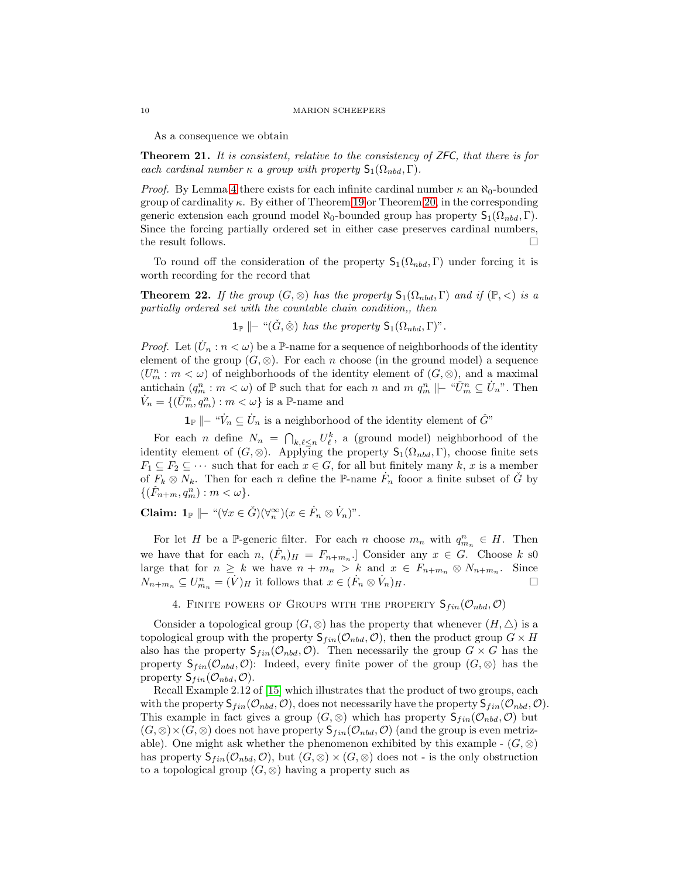As a consequence we obtain

**Theorem 21.** It is consistent, relative to the consistency of  $ZFC$ , that there is for each cardinal number  $\kappa$  a group with property  $\mathsf{S}_1(\Omega_{nbd},\Gamma)$ .

*Proof.* By Lemma [4](#page-3-1) there exists for each infinite cardinal number  $\kappa$  an  $\aleph_0$ -bounded group of cardinality  $\kappa$ . By either of Theorem [19](#page-8-0) or Theorem [20,](#page-8-1) in the corresponding generic extension each ground model  $\aleph_0$ -bounded group has property  $S_1(\Omega_{nbd}, \Gamma)$ . Since the forcing partially ordered set in either case preserves cardinal numbers, the result follows.  $\Box$ 

To round off the consideration of the property  $S_1(\Omega_{nbd}, \Gamma)$  under forcing it is worth recording for the record that

**Theorem 22.** If the group  $(G, \otimes)$  has the property  $S_1(\Omega_{nbd}, \Gamma)$  and if  $(\mathbb{P}, \leq)$  is a partially ordered set with the countable chain condition,, then

 $\mathbf{1}_{\mathbb{P}} \models$  " $(\check{G}, \check{\otimes})$  has the property  $\mathsf{S}_1(\Omega_{nbd}, \Gamma)$ ".

*Proof.* Let  $(\dot{U}_n : n < \omega)$  be a P-name for a sequence of neighborhoods of the identity element of the group  $(G, \otimes)$ . For each *n* choose (in the ground model) a sequence  $(U_m^n : m < \omega)$  of neighborhoods of the identity element of  $(G, \otimes)$ , and a maximal antichain  $(q_m^n : m < \omega)$  of  $\mathbb P$  such that for each n and  $m \ q_m^n \parallel - \omega \check{U}_m^n \subseteq \dot{U}_n$ . Then  $\dot{V}_n = \{(\check{U}_m^n, q_m^n) : m < \omega\}$  is a P-name and

**1**<sup>p</sup>  $\|\cdot\|^2$ <sup>*i*</sup>  $\leq U_n$  is a neighborhood of the identity element of  $\check{G}$ <sup>n</sup>

For each *n* define  $N_n = \bigcap_{k,\ell \leq n} U_{\ell}^k$ , a (ground model) neighborhood of the identity element of  $(G, \otimes)$ . Applying the property  $\mathsf{S}_1(\Omega_{nbd}, \Gamma)$ , choose finite sets  $F_1 \subseteq F_2 \subseteq \cdots$  such that for each  $x \in G$ , for all but finitely many k, x is a member of  $F_k \otimes N_k$ . Then for each n define the P-name  $\dot{F}_n$  fooor a finite subset of  $\check{G}$  by  $\{(\check{F}_{n+m}, q_m^n) : m < \omega\}.$ 

Claim:  $1_{\mathbb{P}} \mid\mid - \sqrt{\forall x \in \check{G}}(\forall \infty^{\infty})(x \in \dot{F}_n \otimes \dot{V}_n)^n$ .

For let H be a P-generic filter. For each n choose  $m_n$  with  $q_{m_n}^n \in H$ . Then we have that for each  $n, (\dot{F}_n)_{H} = F_{n+m_n}$ . Consider any  $x \in G$ . Choose k so large that for  $n \geq k$  we have  $n + m_n > k$  and  $x \in F_{n+m_n} \otimes N_{n+m_n}$ . Since  $N_{n+m_n} \subseteq U^n_{m_n} = (\dot{V})_H$  it follows that  $x \in (\dot{F}_n \otimes \dot{V}_n)_H$ .

4. FINITE POWERS OF GROUPS WITH THE PROPERTY  $S_{fin}(\mathcal{O}_{nbd}, \mathcal{O})$ 

<span id="page-9-0"></span>Consider a topological group  $(G, \otimes)$  has the property that whenever  $(H, \triangle)$  is a topological group with the property  $\mathsf{S}_{fin}(\mathcal{O}_{nbd}, \mathcal{O})$ , then the product group  $G \times H$ also has the property  $S_{fin}(\mathcal{O}_{nbd}, \mathcal{O})$ . Then necessarily the group  $G \times G$  has the property  $S_{fin}(\mathcal{O}_{nbd}, \mathcal{O})$ : Indeed, every finite power of the group  $(G, \otimes)$  has the property  $S_{fin}(\mathcal{O}_{nbd}, \mathcal{O})$ .

Recall Example 2.12 of [\[15\]](#page-13-7) which illustrates that the product of two groups, each with the property  $S_{fin}(\mathcal{O}_{nbd}, \mathcal{O})$ , does not necessarily have the property  $S_{fin}(\mathcal{O}_{nbd}, \mathcal{O})$ . This example in fact gives a group  $(G, \otimes)$  which has property  $\mathsf{S}_{fin}(\mathcal{O}_{nbd}, \mathcal{O})$  but  $(G, \otimes) \times (G, \otimes)$  does not have property  $\mathsf{S}_{fin}(\mathcal{O}_{nbd}, \mathcal{O})$  (and the group is even metrizable). One might ask whether the phenomenon exhibited by this example -  $(G, \otimes)$ has property  $\mathsf{S}_{fin}(\mathcal{O}_{nbd}, \mathcal{O})$ , but  $(G, \otimes) \times (G, \otimes)$  does not - is the only obstruction to a topological group  $(G, \otimes)$  having a property such as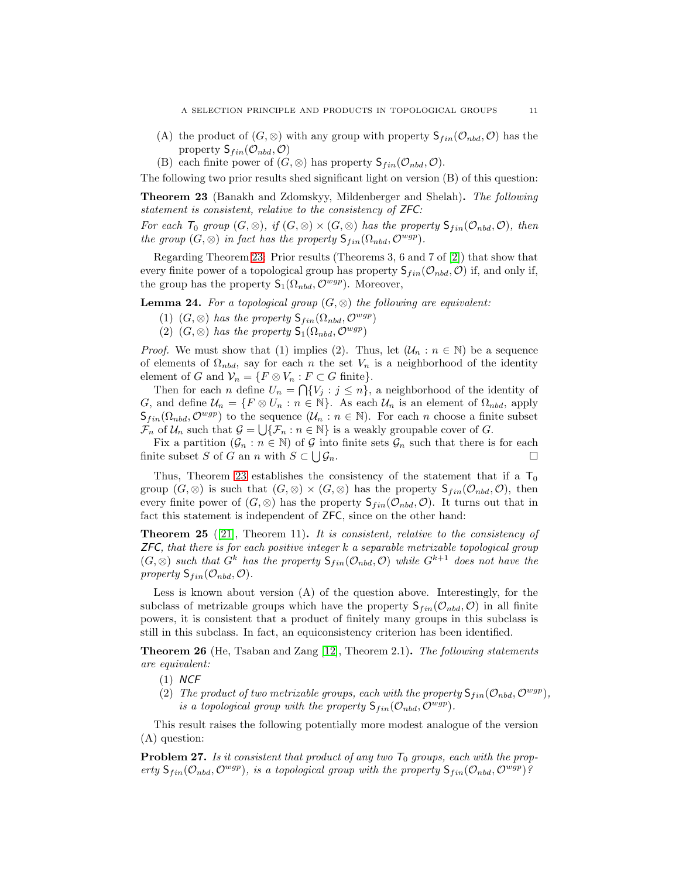A SELECTION PRINCIPLE AND PRODUCTS IN TOPOLOGICAL GROUPS 11

- (A) the product of  $(G, \otimes)$  with any group with property  $S_{fin}(\mathcal{O}_{nbd}, \mathcal{O})$  has the property  $S_{fin}(\mathcal{O}_{nbd}, \mathcal{O})$
- (B) each finite power of  $(G, \otimes)$  has property  $\mathsf{S}_{fin}(\mathcal{O}_{nbd}, \mathcal{O})$ .

The following two prior results shed significant light on version (B) of this question:

<span id="page-10-0"></span>Theorem 23 (Banakh and Zdomskyy, Mildenberger and Shelah). The following statement is consistent, relative to the consistency of ZFC:

For each  $T_0$  group  $(G, \otimes)$ , if  $(G, \otimes) \times (G, \otimes)$  has the property  $\mathsf{S}_{fin}(\mathcal{O}_{nbd}, \mathcal{O})$ , then the group  $(G, \otimes)$  in fact has the property  $S_{fin}(\Omega_{nbd}, \mathcal{O}^{wgp}).$ 

Regarding Theorem [23:](#page-10-0) Prior results (Theorems 3, 6 and 7 of [\[2\]](#page-12-1)) that show that every finite power of a topological group has property  $S_{fin}(\mathcal{O}_{nbd}, \mathcal{O})$  if, and only if, the group has the property  $S_1(\Omega_{nbd}, \mathcal{O}^{wgp})$ . Moreover,

**Lemma 24.** For a topological group  $(G, \otimes)$  the following are equivalent:

- (1)  $(G, \otimes)$  has the property  $\mathsf{S}_{fin}(\Omega_{nbd}, \mathcal{O}^{wgp})$
- (2)  $(G, \otimes)$  has the property  $\mathsf{S}_1(\Omega_{nbd}, \mathcal{O}^{wgp})$

*Proof.* We must show that (1) implies (2). Thus, let  $(\mathcal{U}_n : n \in \mathbb{N})$  be a sequence of elements of  $\Omega_{nbd}$ , say for each n the set  $V_n$  is a neighborhood of the identity element of G and  $\mathcal{V}_n = \{F \otimes V_n : F \subset G \text{ finite}\}.$ 

Then for each *n* define  $U_n = \bigcap \{V_j : j \leq n\}$ , a neighborhood of the identity of G, and define  $\mathcal{U}_n = \{F \otimes U_n : n \in \mathbb{N}\}\$ . As each  $\mathcal{U}_n$  is an element of  $\Omega_{nbd}$ , apply  $\mathsf{S}_{fin}(\Omega_{nbd}, \mathcal{O}^{wgp})$  to the sequence  $(\mathcal{U}_n : n \in \mathbb{N})$ . For each n choose a finite subset  $\mathcal{F}_n$  of  $\mathcal{U}_n$  such that  $\mathcal{G} = \bigcup \{\mathcal{F}_n : n \in \mathbb{N}\}\$ is a weakly groupable cover of G.

Fix a partition  $(\mathcal{G}_n : n \in \mathbb{N})$  of G into finite sets  $\mathcal{G}_n$  such that there is for each finite subset S of G an n with  $S \subset \bigcup$  $\mathcal{G}_n$ .

Thus, Theorem [23](#page-10-0) establishes the consistency of the statement that if a  $T_0$ group  $(G, \otimes)$  is such that  $(G, \otimes) \times (G, \otimes)$  has the property  $\mathsf{S}_{fin}(\mathcal{O}_{nbd}, \mathcal{O})$ , then every finite power of  $(G, \otimes)$  has the property  $S_{fin}(\mathcal{O}_{nbd}, \mathcal{O})$ . It turns out that in fact this statement is independent of ZFC, since on the other hand:

**Theorem 25** ([\[21\]](#page-13-11), Theorem 11). It is consistent, relative to the consistency of  $ZFC$ , that there is for each positive integer  $k$  a separable metrizable topological group  $(G, \otimes)$  such that  $G^k$  has the property  $\mathsf{S}_{fin}(\mathcal{O}_{nbd}, \mathcal{O})$  while  $G^{k+1}$  does not have the property  $S_{fin}(\mathcal{O}_{nbd}, \mathcal{O})$ .

Less is known about version (A) of the question above. Interestingly, for the subclass of metrizable groups which have the property  $S_{fin}(\mathcal{O}_{nbd}, \mathcal{O})$  in all finite powers, it is consistent that a product of finitely many groups in this subclass is still in this subclass. In fact, an equiconsistency criterion has been identified.

Theorem 26 (He, Tsaban and Zang [\[12\]](#page-13-12), Theorem 2.1). The following statements are equivalent:

- $(1)$  NCF
- (2) The product of two metrizable groups, each with the property  $S_{fin}(\mathcal{O}_{nbd}, \mathcal{O}^{wgp})$ , is a topological group with the property  $S_{fin}(\mathcal{O}_{nbd}, \mathcal{O}^{wgp}).$

This result raises the following potentially more modest analogue of the version (A) question:

**Problem 27.** Is it consistent that product of any two  $T_0$  groups, each with the property  $S_{fin}(\mathcal{O}_{nbd}, \mathcal{O}^{wgp})$ , is a topological group with the property  $S_{fin}(\mathcal{O}_{nbd}, \mathcal{O}^{wgp})$ ?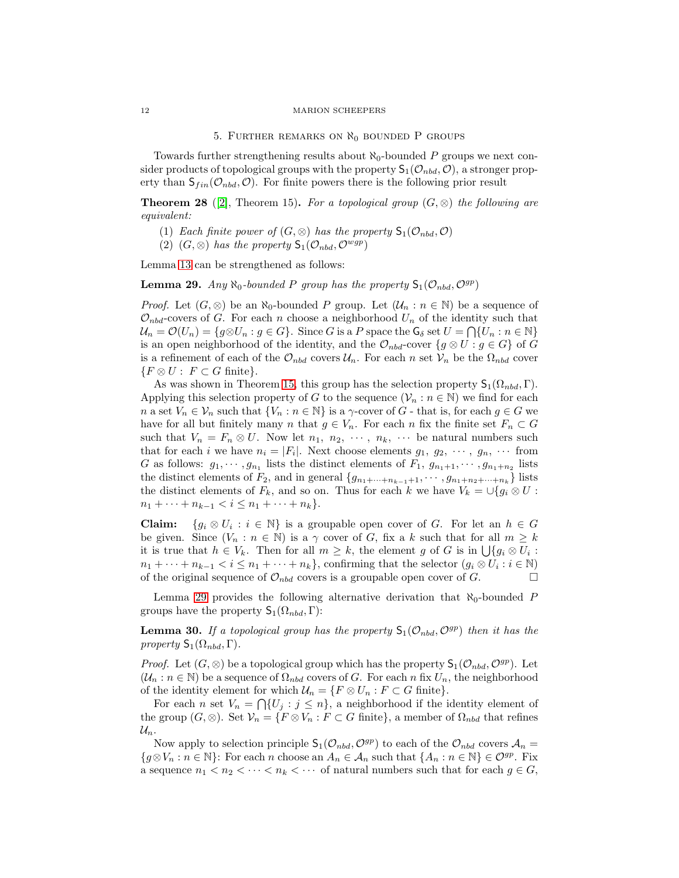### <span id="page-11-0"></span>12 MARION SCHEEPERS

### 5. FURTHER REMARKS ON  $\aleph_0$  bounded P groups

Towards further strengthening results about  $\aleph_0$ -bounded P groups we next consider products of topological groups with the property  $S_1(\mathcal{O}_{nbd}, \mathcal{O})$ , a stronger property than  $S_{fin}(\mathcal{O}_{nbd}, \mathcal{O})$ . For finite powers there is the following prior result

**Theorem 28** ([\[2\]](#page-12-1), Theorem 15). For a topological group  $(G, \otimes)$  the following are equivalent:

- (1) Each finite power of  $(G, \otimes)$  has the property  $\mathsf{S}_1(\mathcal{O}_{nbd}, \mathcal{O})$
- (2)  $(G, \otimes)$  has the property  $\mathsf{S}_1(\mathcal{O}_{nbd}, \mathcal{O}^{wgp})$

Lemma [13](#page-5-3) can be strengthened as follows:

<span id="page-11-1"></span>**Lemma 29.** Any  $\aleph_0$ -bounded P group has the property  $S_1(\mathcal{O}_{nbd}, \mathcal{O}^{gp})$ 

*Proof.* Let  $(G, \otimes)$  be an  $\aleph_0$ -bounded P group. Let  $(\mathcal{U}_n : n \in \mathbb{N})$  be a sequence of  $\mathcal{O}_{nbd}$ -covers of G. For each n choose a neighborhood  $U_n$  of the identity such that  $\mathcal{U}_n = \mathcal{O}(U_n) = \{ g \otimes U_n : g \in G \}.$  Since G is a P space the  $\mathsf{G}_{\delta}$  set  $U = \bigcap \{ U_n : n \in \mathbb{N} \}$ is an open neighborhood of the identity, and the  $\mathcal{O}_{nbd}$ -cover  $\{g \otimes U : g \in G\}$  of G is a refinement of each of the  $\mathcal{O}_{nbd}$  covers  $\mathcal{U}_n$ . For each n set  $\mathcal{V}_n$  be the  $\Omega_{nbd}$  cover  ${F \otimes U : F \subset G \text{ finite}}.$ 

As was shown in Theorem [15,](#page-6-2) this group has the selection property  $\mathsf{S}_1(\Omega_{nbd},\Gamma)$ . Applying this selection property of G to the sequence  $(\mathcal{V}_n : n \in \mathbb{N})$  we find for each n a set  $V_n \in \mathcal{V}_n$  such that  $\{V_n : n \in \mathbb{N}\}\$ is a  $\gamma$ -cover of G - that is, for each  $g \in G$  we have for all but finitely many n that  $g \in V_n$ . For each n fix the finite set  $F_n \subset G$ such that  $V_n = F_n \otimes U$ . Now let  $n_1, n_2, \cdots, n_k, \cdots$  be natural numbers such that for each i we have  $n_i = |F_i|$ . Next choose elements  $g_1, g_2, \dots, g_n, \dots$  from G as follows:  $g_1, \dots, g_{n_1}$  lists the distinct elements of  $F_1, g_{n_1+1}, \dots, g_{n_1+n_2}$  lists the distinct elements of  $F_2$ , and in general  $\{g_{n_1+\cdots+n_{k-1}+1}, \cdots, g_{n_1+n_2+\cdots+n_k}\}\$  lists the distinct elements of  $F_k$ , and so on. Thus for each k we have  $V_k = \bigcup \{g_i \otimes U :$  $n_1 + \cdots + n_{k-1} < i \leq n_1 + \cdots + n_k$ .

**Claim:**  $\{g_i \otimes U_i : i \in \mathbb{N}\}\$ is a groupable open cover of G. For let an  $h \in G$ be given. Since  $(V_n : n \in \mathbb{N})$  is a  $\gamma$  cover of G, fix a k such that for all  $m \geq k$ it is true that  $h \in V_k$ . Then for all  $m \geq k$ , the element g of G is in  $\bigcup \{g_i \otimes U_i :$  $n_1 + \cdots + n_{k-1} < i \leq n_1 + \cdots + n_k$ , confirming that the selector  $(g_i \otimes U_i : i \in \mathbb{N})$ of the original sequence of  $\mathcal{O}_{nbd}$  covers is a groupable open cover of G.

Lemma [29](#page-11-1) provides the following alternative derivation that  $\aleph_0$ -bounded P groups have the property  $\mathsf{S}_1(\Omega_{nbd},\Gamma)$ :

<span id="page-11-2"></span>**Lemma 30.** If a topological group has the property  $S_1(\mathcal{O}_{nbd}, \mathcal{O}^{gp})$  then it has the property  $S_1(\Omega_{nbd}, \Gamma)$ .

*Proof.* Let  $(G, \otimes)$  be a topological group which has the property  $\mathsf{S}_1(\mathcal{O}_{nbd}, \mathcal{O}^{gp})$ . Let  $(\mathcal{U}_n : n \in \mathbb{N})$  be a sequence of  $\Omega_{nbd}$  covers of G. For each n fix  $U_n$ , the neighborhood of the identity element for which  $\mathcal{U}_n = \{F \otimes U_n : F \subset G \text{ finite}\}.$ 

For each n set  $V_n = \bigcap \{U_j : j \leq n\}$ , a neighborhood if the identity element of the group  $(G, \otimes)$ . Set  $\mathcal{V}_n = \{F \otimes V_n : F \subset G \text{ finite}\},\$ a member of  $\Omega_{nbd}$  that refines  $\mathcal{U}_n$ .

Now apply to selection principle  $S_1(\mathcal{O}_{nbd}, \mathcal{O}^{gp})$  to each of the  $\mathcal{O}_{nbd}$  covers  $\mathcal{A}_n =$  ${g \otimes V_n : n \in \mathbb{N}}$ : For each n choose an  $A_n \in \mathcal{A}_n$  such that  ${A_n : n \in \mathbb{N}} \in \mathcal{O}^{gp}$ . Fix a sequence  $n_1 < n_2 < \cdots < n_k < \cdots$  of natural numbers such that for each  $g \in G$ ,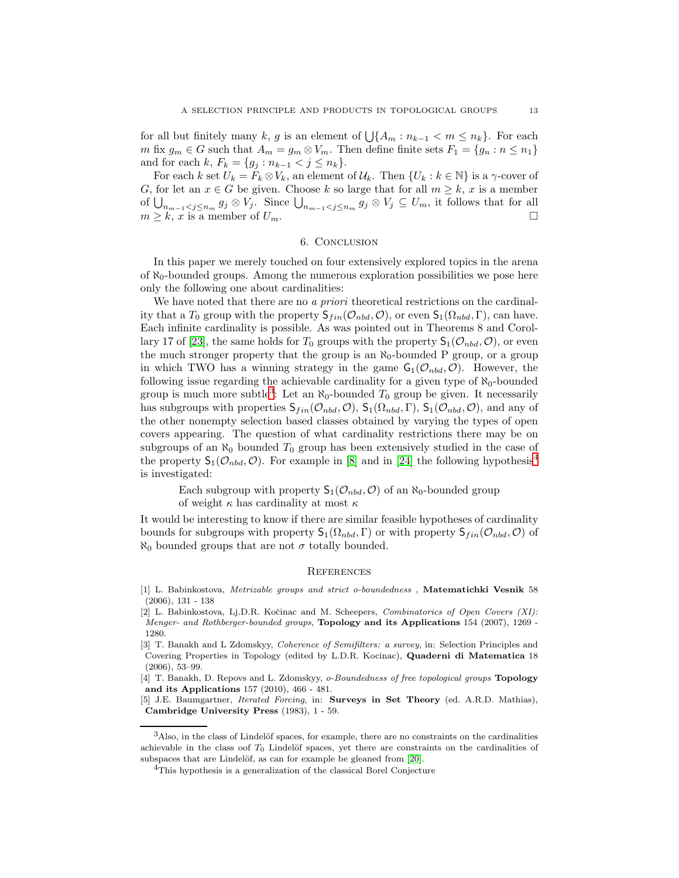for all but finitely many k, g is an element of  $\bigcup \{A_m : n_{k-1} < m \leq n_k\}$ . For each m fix  $g_m \in G$  such that  $A_m = g_m \otimes V_m$ . Then define finite sets  $F_1 = \{g_n : n \leq n_1\}$ and for each k,  $F_k = \{g_j : n_{k-1} < j \le n_k\}.$ 

For each k set  $U_k = F_k \otimes V_k$ , an element of  $\mathcal{U}_k$ . Then  $\{U_k : k \in \mathbb{N}\}\)$  is a  $\gamma$ -cover of G, for let an  $x \in G$  be given. Choose k so large that for all  $m \geq k$ , x is a member of  $\bigcup_{n_{m-1} < j \leq n_m} g_j \otimes V_j$ . Since  $\bigcup_{n_{m-1} < j \leq n_m} g_j \otimes V_j \subseteq U_m$ , it follows that for all  $m \geq k$ , x is a member of  $U_m$ .

## 6. Conclusion

In this paper we merely touched on four extensively explored topics in the arena of  $\aleph_0$ -bounded groups. Among the numerous exploration possibilities we pose here only the following one about cardinalities:

We have noted that there are no a priori theoretical restrictions on the cardinality that a  $T_0$  group with the property  $\mathsf{S}_{fin}(\mathcal{O}_{nbd}, \mathcal{O})$ , or even  $\mathsf{S}_1(\Omega_{nbd}, \Gamma)$ , can have. Each infinite cardinality is possible. As was pointed out in Theorems 8 and Corol-lary 17 of [\[23\]](#page-13-13), the same holds for  $T_0$  groups with the property  $S_1(\mathcal{O}_{nbd}, \mathcal{O})$ , or even the much stronger property that the group is an  $\aleph_0$ -bounded P group, or a group in which TWO has a winning strategy in the game  $G_1(\mathcal{O}_{nbd}, \mathcal{O})$ . However, the following issue regarding the achievable cardinality for a given type of  $\aleph_0$ -bounded group is much more subtle<sup>[3](#page-12-3)</sup>: Let an  $\aleph_0$ -bounded  $T_0$  group be given. It necessarily has subgroups with properties  $S_{fin}(\mathcal{O}_{nbd}, \mathcal{O})$ ,  $S_1(\Omega_{nbd}, \Gamma)$ ,  $S_1(\mathcal{O}_{nbd}, \mathcal{O})$ , and any of the other nonempty selection based classes obtained by varying the types of open covers appearing. The question of what cardinality restrictions there may be on subgroups of an  $\aleph_0$  bounded  $T_0$  group has been extensively studied in the case of the property  $S_1(\mathcal{O}_{nbd}, \mathcal{O})$ . For example in [\[8\]](#page-13-14) and in [\[24\]](#page-13-15) the following hypothesis<sup>[4](#page-12-4)</sup> is investigated:

Each subgroup with property  $S_1(\mathcal{O}_{nbd}, \mathcal{O})$  of an  $\aleph_0$ -bounded group of weight  $\kappa$  has cardinality at most  $\kappa$ 

It would be interesting to know if there are similar feasible hypotheses of cardinality bounds for subgroups with property  $\mathsf{S}_1(\Omega_{nbd}, \Gamma)$  or with property  $\mathsf{S}_{fin}(\mathcal{O}_{nbd}, \mathcal{O})$  of  $\aleph_0$  bounded groups that are not  $\sigma$  totally bounded.

### **REFERENCES**

- <span id="page-12-1"></span>[2] L. Babinkostova, Lj.D.R. Kočinac and M. Scheepers, *Combinatorics of Open Covers (XI)*: Menger- and Rothberger-bounded groups, Topology and its Applications 154 (2007), 1269 - 1280.
- [3] T. Banakh and L Zdomskyy, Coherence of Semifilters: a survey, in: Selection Principles and Covering Properties in Topology (edited by L.D.R. Kocinac), Quaderni di Matematica 18 (2006), 53–99.

[4] T. Banakh, D. Repovs and L. Zdomskyy, o-Boundedness of free topological groups Topology and its Applications 157 (2010), 466 - 481.

<span id="page-12-0"></span>[5] J.E. Baumgartner, *Iterated Forcing*, in: **Surveys in Set Theory** (ed. A.R.D. Mathias), Cambridge University Press (1983), 1 - 59.

<span id="page-12-2"></span><sup>[1]</sup> L. Babinkostova, Metrizable groups and strict o-boundedness , Matematichki Vesnik 58 (2006), 131 - 138

<span id="page-12-3"></span> $3$ Also, in the class of Lindelöf spaces, for example, there are no constraints on the cardinalities achievable in the class oof  $T_0$  Lindelöf spaces, yet there are constraints on the cardinalities of subspaces that are Lindelöf, as can for example be gleaned from [\[20\]](#page-13-16).

<span id="page-12-4"></span><sup>4</sup>This hypothesis is a generalization of the classical Borel Conjecture